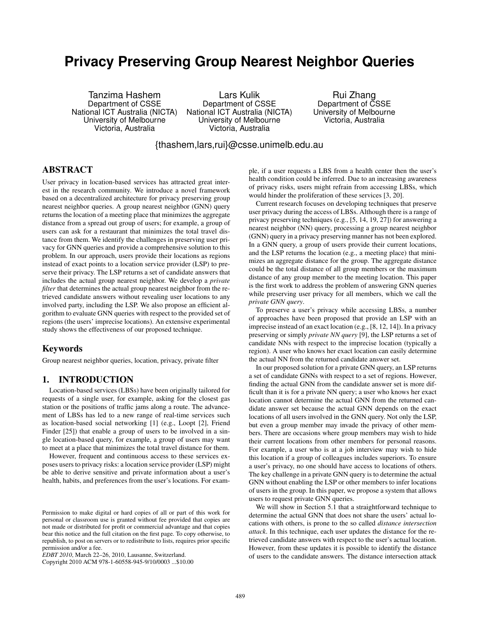# **Privacy Preserving Group Nearest Neighbor Queries**

Tanzima Hashem Department of CSSE National ICT Australia (NICTA) University of Melbourne Victoria, Australia

Lars Kulik Department of CSSE National ICT Australia (NICTA) University of Melbourne Victoria, Australia

Rui Zhang Department of CSSE University of Melbourne Victoria, Australia

{thashem,lars,rui}@csse.unimelb.edu.au

## ABSTRACT

User privacy in location-based services has attracted great interest in the research community. We introduce a novel framework based on a decentralized architecture for privacy preserving group nearest neighbor queries. A group nearest neighbor (GNN) query returns the location of a meeting place that minimizes the aggregate distance from a spread out group of users; for example, a group of users can ask for a restaurant that minimizes the total travel distance from them. We identify the challenges in preserving user privacy for GNN queries and provide a comprehensive solution to this problem. In our approach, users provide their locations as regions instead of exact points to a location service provider (LSP) to preserve their privacy. The LSP returns a set of candidate answers that includes the actual group nearest neighbor. We develop a *private filter* that determines the actual group nearest neighbor from the retrieved candidate answers without revealing user locations to any involved party, including the LSP. We also propose an efficient algorithm to evaluate GNN queries with respect to the provided set of regions (the users' imprecise locations). An extensive experimental study shows the effectiveness of our proposed technique.

# Keywords

Group nearest neighbor queries, location, privacy, private filter

# 1. INTRODUCTION

Location-based services (LBSs) have been originally tailored for requests of a single user, for example, asking for the closest gas station or the positions of traffic jams along a route. The advancement of LBSs has led to a new range of real-time services such as location-based social networking [1] (e.g., Loopt [2], Friend Finder [25]) that enable a group of users to be involved in a single location-based query, for example, a group of users may want to meet at a place that minimizes the total travel distance for them.

However, frequent and continuous access to these services exposes users to privacy risks: a location service provider (LSP) might be able to derive sensitive and private information about a user's health, habits, and preferences from the user's locations. For exam-

Copyright 2010 ACM 978-1-60558-945-9/10/0003 ...\$10.00

ple, if a user requests a LBS from a health center then the user's health condition could be inferred. Due to an increasing awareness of privacy risks, users might refrain from accessing LBSs, which would hinder the proliferation of these services [3, 20].

Current research focuses on developing techniques that preserve user privacy during the access of LBSs. Although there is a range of privacy preserving techniques (e.g., [5, 14, 19, 27]) for answering a nearest neighbor (NN) query, processing a group nearest neighbor (GNN) query in a privacy preserving manner has not been explored. In a GNN query, a group of users provide their current locations, and the LSP returns the location (e.g., a meeting place) that minimizes an aggregate distance for the group. The aggregate distance could be the total distance of all group members or the maximum distance of any group member to the meeting location. This paper is the first work to address the problem of answering GNN queries while preserving user privacy for all members, which we call the *private GNN query*.

To preserve a user's privacy while accessing LBSs, a number of approaches have been proposed that provide an LSP with an imprecise instead of an exact location (e.g., [8, 12, 14]). In a privacy preserving or simply *private NN query* [9], the LSP returns a set of candidate NNs with respect to the imprecise location (typically a region). A user who knows her exact location can easily determine the actual NN from the returned candidate answer set.

In our proposed solution for a private GNN query, an LSP returns a set of candidate GNNs with respect to a set of regions. However, finding the actual GNN from the candidate answer set is more difficult than it is for a private NN query; a user who knows her exact location cannot determine the actual GNN from the returned candidate answer set because the actual GNN depends on the exact locations of all users involved in the GNN query. Not only the LSP, but even a group member may invade the privacy of other members. There are occasions where group members may wish to hide their current locations from other members for personal reasons. For example, a user who is at a job interview may wish to hide this location if a group of colleagues includes superiors. To ensure a user's privacy, no one should have access to locations of others. The key challenge in a private GNN query is to determine the actual GNN without enabling the LSP or other members to infer locations of users in the group. In this paper, we propose a system that allows users to request private GNN queries.

We will show in Section 5.1 that a straightforward technique to determine the actual GNN that does not share the users' actual locations with others, is prone to the so called *distance intersection attack*. In this technique, each user updates the distance for the retrieved candidate answers with respect to the user's actual location. However, from these updates it is possible to identify the distance of users to the candidate answers. The distance intersection attack

Permission to make digital or hard copies of all or part of this work for personal or classroom use is granted without fee provided that copies are not made or distributed for profit or commercial advantage and that copies bear this notice and the full citation on the first page. To copy otherwise, to republish, to post on servers or to redistribute to lists, requires prior specific permission and/or a fee.

*EDBT 2010*, March 22–26, 2010, Lausanne, Switzerland.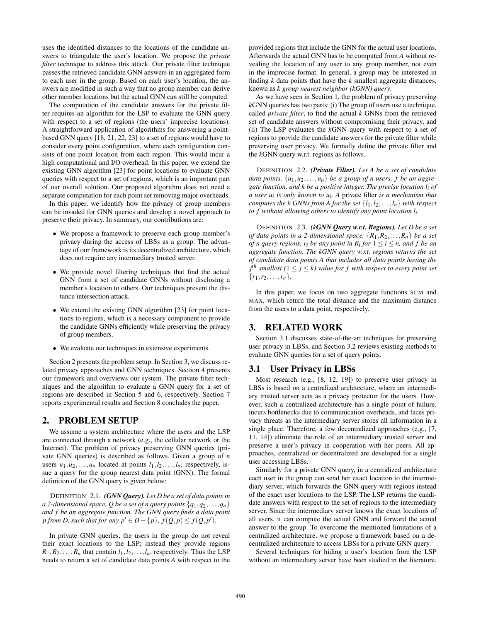uses the identified distances to the locations of the candidate answers to triangulate the user's location. We propose the *private filter* technique to address this attack. Our private filter technique passes the retrieved candidate GNN answers in an aggregated form to each user in the group. Based on each user's location, the answers are modified in such a way that no group member can derive other member locations but the actual GNN can still be computed.

The computation of the candidate answers for the private filter requires an algorithm for the LSP to evaluate the GNN query with respect to a set of regions (the users' imprecise locations). A straightforward application of algorithms for answering a pointbased GNN query [18, 21, 22, 23] to a set of regions would have to consider every point configuration, where each configuration consists of one point location from each region. This would incur a high computational and I/O overhead. In this paper, we extend the existing GNN algorithm [23] for point locations to evaluate GNN queries with respect to a set of regions, which is an important part of our overall solution. Our proposed algorithm does not need a separate computation for each point set removing major overheads.

In this paper, we identify how the privacy of group members can be invaded for GNN queries and develop a novel approach to preserve their privacy. In summary, our contributions are:

- We propose a framework to preserve each group member's privacy during the access of LBSs as a group. The advantage of our framework is its decentralized architecture, which does not require any intermediary trusted server.
- We provide novel filtering techniques that find the actual GNN from a set of candidate GNNs without disclosing a member's location to others. Our techniques prevent the distance intersection attack.
- We extend the existing GNN algorithm [23] for point locations to regions, which is a necessary component to provide the candidate GNNs efficiently while preserving the privacy of group members.
- We evaluate our techniques in extensive experiments.

Section 2 presents the problem setup. In Section 3, we discuss related privacy approaches and GNN techniques. Section 4 presents our framework and overviews our system. The private filter techniques and the algorithm to evaluate a GNN query for a set of regions are described in Section 5 and 6, respectively. Section 7 reports experimental results and Section 8 concludes the paper.

#### 2. PROBLEM SETUP

We assume a system architecture where the users and the LSP are connected through a network (e.g., the cellular network or the Internet). The problem of privacy preserving GNN queries (private GNN queries) is described as follows. Given a group of *n* users  $u_1, u_2, \ldots, u_n$  located at points  $l_1, l_2, \ldots, l_n$ , respectively, issue a query for the group nearest data point (GNN). The formal definition of the GNN query is given below:

DEFINITION 2.1. *(GNN Query). Let D be a set of data points in a* 2-dimensional space, Q be a set of n query points  $\{q_1, q_2, \ldots, q_n\}$ *and f be an aggregate function. The GNN query finds a data point p* from *D*, such that for any  $p' \in D - \{p\}$ ,  $f(Q, p) \leq f(Q, p')$ .

In private GNN queries, the users in the group do not reveal their exact locations to the LSP; instead they provide regions  $R_1, R_2, \ldots, R_n$  that contain  $l_1, l_2, \ldots, l_n$ , respectively. Thus the LSP needs to return a set of candidate data points *A* with respect to the provided regions that include the GNN for the actual user locations. Afterwards the actual GNN has to be computed from *A* without revealing the location of any user to any group member, not even in the imprecise format. In general, a group may be interested in finding *k* data points that have the *k* smallest aggregate distances, known as *k group nearest neighbor (kGNN) query*.

As we have seen in Section 1, the problem of privacy preserving *k*GNN queries has two parts: (i) The group of users use a technique, called *private filter*, to find the actual *k* GNNs from the retrieved set of candidate answers without compromising their privacy, and (ii) The LSP evaluates the *k*GNN query with respect to a set of regions to provide the candidate answers for the private filter while preserving user privacy. We formally define the private filter and the *k*GNN query w.r.t. regions as follows.

DEFINITION 2.2. *(Private Filter). Let A be a set of candidate data points,*  $\{u_1, u_2, \ldots, u_n\}$  *be a group of n users, f be an aggregate function, and k be a positive integer. The precise location li of a user ui is only known to ui . A* private filter *is a mechanism that computes the k GNNs from A for the set*  $\{l_1, l_2, \ldots, l_n\}$  *with respect to f without allowing others to identify any point location li .*

DEFINITION 2.3. *(kGNN Query w.r.t. Regions). Let D be a set of data points in a 2-dimensional space,*  $\{R_1, R_2, \ldots, R_n\}$  *be a set of n query regions,*  $r_i$  *be any point in*  $R_i$  *for*  $1 \le i \le n$ *, and f be an aggregate function. The kGNN query w.r.t. regions returns the set of candidate data points A that includes all data points having the*  $j$ <sup>th</sup> smallest ( $1 \le j \le k$ ) value for f with respect to every point set  $\{r_1, r_2, \ldots, r_n\}.$ 

In this paper, we focus on two aggregate functions SUM and MAX, which return the total distance and the maximum distance from the users to a data point, respectively.

## 3. RELATED WORK

Section 3.1 discusses state-of-the-art techniques for preserving user privacy in LBSs, and Section 3.2 reviews existing methods to evaluate GNN queries for a set of query points.

# 3.1 User Privacy in LBSs

Most research (e.g., [8, 12, 19]) to preserve user privacy in LBSs is based on a centralized architecture, where an intermediary trusted server acts as a privacy protector for the users. However, such a centralized architecture has a single point of failure, incurs bottlenecks due to communication overheads, and faces privacy threats as the intermediary server stores all information in a single place. Therefore, a few decentralized approaches (e.g., [7, 11, 14]) eliminate the role of an intermediary trusted server and preserve a user's privacy in cooperation with her peers. All approaches, centralized or decentralized are developed for a single user accessing LBSs.

Similarly for a private GNN query, in a centralized architecture each user in the group can send her exact location to the intermediary server, which forwards the GNN query with regions instead of the exact user locations to the LSP. The LSP returns the candidate answers with respect to the set of regions to the intermediary server. Since the intermediary server knows the exact locations of all users, it can compute the actual GNN and forward the actual answer to the group. To overcome the mentioned limitations of a centralized architecture, we propose a framework based on a decentralized architecture to access LBSs for a private GNN query.

Several techniques for hiding a user's location from the LSP without an intermediary server have been studied in the literature.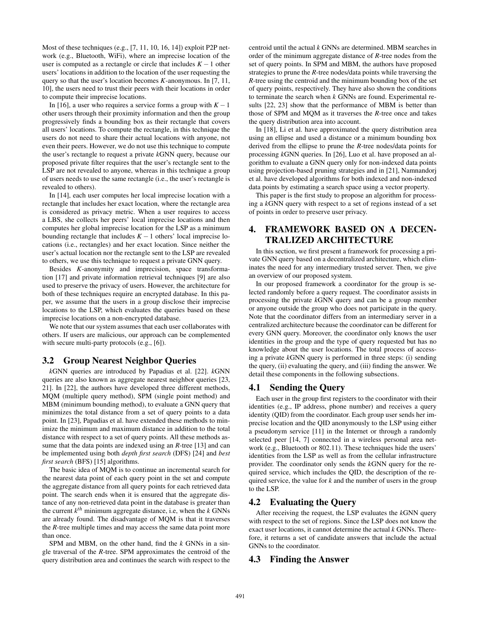Most of these techniques (e.g., [7, 11, 10, 16, 14]) exploit P2P network (e.g., Bluetooth, WiFi), where an imprecise location of the user is computed as a rectangle or circle that includes  $K - 1$  other users' locations in addition to the location of the user requesting the query so that the user's location becomes *K*-anonymous. In [7, 11, 10], the users need to trust their peers with their locations in order to compute their imprecise locations.

In [16], a user who requires a service forms a group with  $K - 1$ other users through their proximity information and then the group progressively finds a bounding box as their rectangle that covers all users' locations. To compute the rectangle, in this technique the users do not need to share their actual locations with anyone, not even their peers. However, we do not use this technique to compute the user's rectangle to request a private *k*GNN query, because our proposed private filter requires that the user's rectangle sent to the LSP are not revealed to anyone, whereas in this technique a group of users needs to use the same rectangle (i.e., the user's rectangle is revealed to others).

In [14], each user computes her local imprecise location with a rectangle that includes her exact location, where the rectangle area is considered as privacy metric. When a user requires to access a LBS, she collects her peers' local imprecise locations and then computes her global imprecise location for the LSP as a minimum bounding rectangle that includes  $K - 1$  others' local imprecise locations (i.e., rectangles) and her exact location. Since neither the user's actual location nor the rectangle sent to the LSP are revealed to others, we use this technique to request a private GNN query.

Besides *K*-anonymity and imprecision, space transformation [17] and private information retrieval techniques [9] are also used to preserve the privacy of users. However, the architecture for both of these techniques require an encrypted database. In this paper, we assume that the users in a group disclose their imprecise locations to the LSP, which evaluates the queries based on these imprecise locations on a non-encrypted database.

We note that our system assumes that each user collaborates with others. If users are malicious, our approach can be complemented with secure multi-party protocols (e.g., [6]).

# 3.2 Group Nearest Neighbor Queries

*k*GNN queries are introduced by Papadias et al. [22]. *k*GNN queries are also known as aggregate nearest neighbor queries [23, 21]. In [22], the authors have developed three different methods, MQM (multiple query method), SPM (single point method) and MBM (minimum bounding method), to evaluate a GNN query that minimizes the total distance from a set of query points to a data point. In [23], Papadias et al. have extended these methods to minimize the minimum and maximum distance in addition to the total distance with respect to a set of query points. All these methods assume that the data points are indexed using an *R*-tree [13] and can be implemented using both *depth first search* (DFS) [24] and *best first search* (BFS) [15] algorithms.

The basic idea of MQM is to continue an incremental search for the nearest data point of each query point in the set and compute the aggregate distance from all query points for each retrieved data point. The search ends when it is ensured that the aggregate distance of any non-retrieved data point in the database is greater than the current *k th* minimum aggregate distance, i.e, when the *k* GNNs are already found. The disadvantage of MQM is that it traverses the *R*-tree multiple times and may access the same data point more than once.

SPM and MBM, on the other hand, find the *k* GNNs in a single traversal of the *R*-tree. SPM approximates the centroid of the query distribution area and continues the search with respect to the centroid until the actual *k* GNNs are determined. MBM searches in order of the minimum aggregate distance of *R*-tree nodes from the set of query points. In SPM and MBM, the authors have proposed strategies to prune the *R*-tree nodes/data points while traversing the *R*-tree using the centroid and the minimum bounding box of the set of query points, respectively. They have also shown the conditions to terminate the search when *k* GNNs are found. Experimental results [22, 23] show that the performance of MBM is better than those of SPM and MQM as it traverses the *R*-tree once and takes the query distribution area into account.

In [18], Li et al. have approximated the query distribution area using an ellipse and used a distance or a minimum bounding box derived from the ellipse to prune the *R*-tree nodes/data points for processing *k*GNN queries. In [26], Luo et al. have proposed an algorithm to evaluate a GNN query only for non-indexed data points using projection-based pruning strategies and in [21], Namnandorj et al. have developed algorithms for both indexed and non-indexed data points by estimating a search space using a vector property.

This paper is the first study to propose an algorithm for processing a *k*GNN query with respect to a set of regions instead of a set of points in order to preserve user privacy.

# 4. FRAMEWORK BASED ON A DECEN-TRALIZED ARCHITECTURE

In this section, we first present a framework for processing a private GNN query based on a decentralized architecture, which eliminates the need for any intermediary trusted server. Then, we give an overview of our proposed system.

In our proposed framework a coordinator for the group is selected randomly before a query request. The coordinator assists in processing the private *k*GNN query and can be a group member or anyone outside the group who does not participate in the query. Note that the coordinator differs from an intermediary server in a centralized architecture because the coordinator can be different for every GNN query. Moreover, the coordinator only knows the user identities in the group and the type of query requested but has no knowledge about the user locations. The total process of accessing a private *k*GNN query is performed in three steps: (i) sending the query, (ii) evaluating the query, and (iii) finding the answer. We detail these components in the following subsections.

# 4.1 Sending the Query

Each user in the group first registers to the coordinator with their identities (e.g., IP address, phone number) and receives a query identity (QID) from the coordinator. Each group user sends her imprecise location and the QID anonymously to the LSP using either a pseudonym service [11] in the Internet or through a randomly selected peer [14, 7] connected in a wireless personal area network (e.g., Bluetooth or 802.11). These techniques hide the users' identities from the LSP as well as from the cellular infrastructure provider. The coordinator only sends the *k*GNN query for the required service, which includes the QID, the description of the required service, the value for *k* and the number of users in the group to the LSP.

## 4.2 Evaluating the Query

After receiving the request, the LSP evaluates the *k*GNN query with respect to the set of regions. Since the LSP does not know the exact user locations, it cannot determine the actual *k* GNNs. Therefore, it returns a set of candidate answers that include the actual GNNs to the coordinator.

#### 4.3 Finding the Answer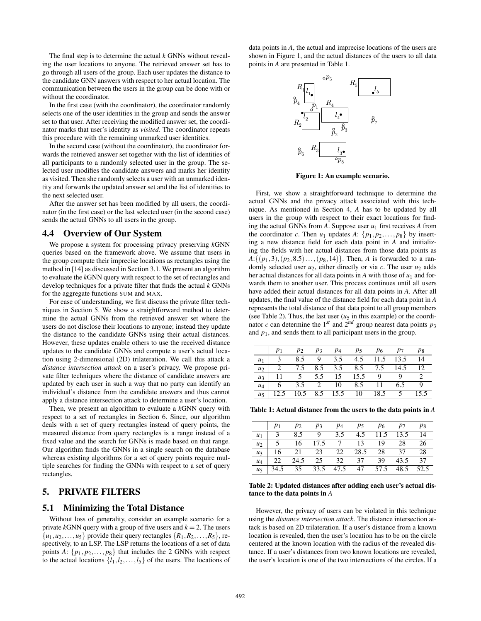The final step is to determine the actual *k* GNNs without revealing the user locations to anyone. The retrieved answer set has to go through all users of the group. Each user updates the distance to the candidate GNN answers with respect to her actual location. The communication between the users in the group can be done with or without the coordinator.

In the first case (with the coordinator), the coordinator randomly selects one of the user identities in the group and sends the answer set to that user. After receiving the modified answer set, the coordinator marks that user's identity as *visited*. The coordinator repeats this procedure with the remaining unmarked user identities.

In the second case (without the coordinator), the coordinator forwards the retrieved answer set together with the list of identities of all participants to a randomly selected user in the group. The selected user modifies the candidate answers and marks her identity as visited. Then she randomly selects a user with an unmarked identity and forwards the updated answer set and the list of identities to the next selected user.

After the answer set has been modified by all users, the coordinator (in the first case) or the last selected user (in the second case) sends the actual GNNs to all users in the group.

## 4.4 Overview of Our System

We propose a system for processing privacy preserving *k*GNN queries based on the framework above. We assume that users in the group compute their imprecise locations as rectangles using the method in [14] as discussed in Section 3.1. We present an algorithm to evaluate the *k*GNN query with respect to the set of rectangles and develop techniques for a private filter that finds the actual *k* GNNs for the aggregate functions SUM and MAX.

For ease of understanding, we first discuss the private filter techniques in Section 5. We show a straightforward method to determine the actual GNNs from the retrieved answer set where the users do not disclose their locations to anyone; instead they update the distance to the candidate GNNs using their actual distances. However, these updates enable others to use the received distance updates to the candidate GNNs and compute a user's actual location using 2-dimensional (2D) trilateration. We call this attack a *distance intersection attack* on a user's privacy. We propose private filter techniques where the distance of candidate answers are updated by each user in such a way that no party can identify an individual's distance from the candidate answers and thus cannot apply a distance intersection attack to determine a user's location.

Then, we present an algorithm to evaluate a *k*GNN query with respect to a set of rectangles in Section 6. Since, our algorithm deals with a set of query rectangles instead of query points, the measured distance from query rectangles is a range instead of a fixed value and the search for GNNs is made based on that range. Our algorithm finds the GNNs in a single search on the database whereas existing algorithms for a set of query points require multiple searches for finding the GNNs with respect to a set of query rectangles.

# 5. PRIVATE FILTERS

## 5.1 Minimizing the Total Distance

Without loss of generality, consider an example scenario for a private  $k$ GNN query with a group of five users and  $k = 2$ . The users  $\{u_1, u_2, \ldots, u_5\}$  provide their query rectangles  $\{R_1, R_2, \ldots, R_5\}$ , respectively, to an LSP. The LSP returns the locations of a set of data points *A*:  $\{p_1, p_2, \ldots, p_8\}$  that includes the 2 GNNs with respect to the actual locations  $\{l_1, l_2, \ldots, l_5\}$  of the users. The locations of data points in *A*, the actual and imprecise locations of the users are shown in Figure 1, and the actual distances of the users to all data points in *A* are presented in Table 1.



Figure 1: An example scenario.

First, we show a straightforward technique to determine the actual GNNs and the privacy attack associated with this technique. As mentioned in Section 4, *A* has to be updated by all users in the group with respect to their exact locations for finding the actual GNNs from  $A$ . Suppose user  $u_1$  first receives  $A$  from the coordinator *c*. Then  $u_1$  updates  $A: \{p_1, p_2, \ldots, p_8\}$  by inserting a new distance field for each data point in *A* and initializing the fields with her actual distances from those data points as  $A: \{(p_1,3), (p_2,8.5), \ldots, (p_8,14)\}.$  Then, *A* is forwarded to a randomly selected user  $u_2$ , either directly or via  $c$ . The user  $u_2$  adds her actual distances for all data points in  $A$  with those of  $u_1$  and forwards them to another user. This process continues until all users have added their actual distances for all data points in *A*. After all updates, the final value of the distance field for each data point in *A* represents the total distance of that data point to all group members (see Table 2). Thus, the last user  $(u_5$  in this example) or the coordinator *c* can determine the 1<sup>st</sup> and  $2^{nd}$  group nearest data points  $p_3$ and  $p_1$ , and sends them to all participant users in the group.

|                | D1 | $p_2$ | $p_3$         | p <sub>4</sub> | p5   | P6   |      | p8 |
|----------------|----|-------|---------------|----------------|------|------|------|----|
| $u_1$          |    | 85    |               | 3.5            | 4.5  | 11.5 | 13.5 | 14 |
| $u_2$          |    | 7.5   | 8.5           | 3.5            | 8.5  | 7.5  | 14.5 | 12 |
| $u_3$          |    |       | 5.5           | 15             | 15.5 |      |      |    |
| $u_4$          | h  | 3.5   | $\mathcal{D}$ | 10             | 8.5  |      |      |    |
| u <sub>5</sub> |    | 10.5  | 8.5           | 15.5           | 10   | 18.5 |      |    |

Table 1: Actual distance from the users to the data points in *A*

|                |      | $p_2$ | $p_3$           | $p_4$ | <i>p</i> <sub>5</sub> | Р6   | $p_7$ | p8   |
|----------------|------|-------|-----------------|-------|-----------------------|------|-------|------|
| $u_1$          |      | 8.5   | - 9             | 3.5   | 4.5                   | 11.5 | 13.5  | 14   |
| $u_2$          |      | 16    | 17.5            |       | 13                    | 19   | 28    | 26   |
| $u_3$          | 16   | 21    | - 23            | 22    | 28.5                  | 28   | 37    | 28   |
| $u_4$          | 22   | 24.5  | $\overline{25}$ | 32    | 37                    | 39   | 43.5  | 37   |
| u <sub>5</sub> | 34.5 |       | 35 33.5         | 47.5  | 47                    | 57.5 | 48.5  | 52.5 |

Table 2: Updated distances after adding each user's actual distance to the data points in *A*

However, the privacy of users can be violated in this technique using the *distance intersection attack*. The distance intersection attack is based on 2D trilateration. If a user's distance from a known location is revealed, then the user's location has to be on the circle centered at the known location with the radius of the revealed distance. If a user's distances from two known locations are revealed, the user's location is one of the two intersections of the circles. If a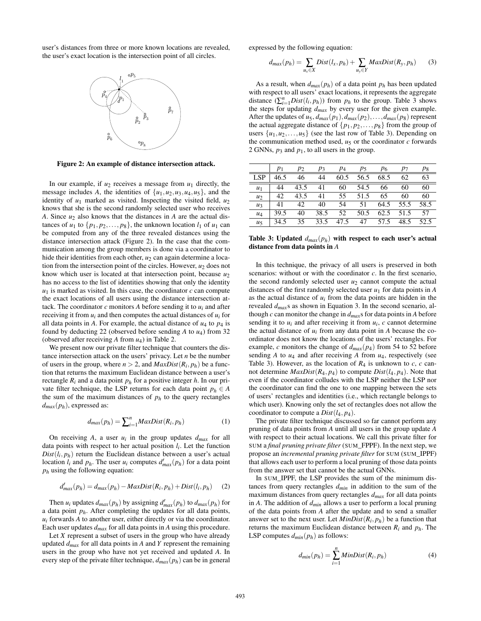user's distances from three or more known locations are revealed, the user's exact location is the intersection point of all circles.



Figure 2: An example of distance intersection attack.

In our example, if  $u_2$  receives a message from  $u_1$  directly, the message includes A, the identities of  $\{u_1, u_2, u_3, u_4, u_5\}$ , and the identity of  $u_1$  marked as visited. Inspecting the visited field,  $u_2$ knows that she is the second randomly selected user who receives *A*. Since  $u_2$  also knows that the distances in *A* are the actual distances of  $u_1$  to  $\{p_1, p_2, \ldots, p_8\}$ , the unknown location  $l_1$  of  $u_1$  can be computed from any of the three revealed distances using the distance intersection attack (Figure 2). In the case that the communication among the group members is done via a coordinator to hide their identities from each other,  $u_2$  can again determine a location from the intersection point of the circles. However, *u*<sup>2</sup> does not know which user is located at that intersection point, because *u*<sup>2</sup> has no access to the list of identities showing that only the identity  $u_1$  is marked as visited. In this case, the coordinator  $c$  can compute the exact locations of all users using the distance intersection attack. The coordinator  $c$  monitors  $A$  before sending it to  $u_i$  and after receiving it from  $u_i$  and then computes the actual distances of  $u_i$  for all data points in *A*. For example, the actual distance of *u*<sup>4</sup> to *p*<sup>4</sup> is found by deducting 22 (observed before sending *A* to *u*4) from 32 (observed after receiving *A* from *u*4) in Table 2.

We present now our private filter technique that counters the distance intersection attack on the users' privacy. Let *n* be the number of users in the group, where  $n > 2$ , and  $MaxDist(R_i, p_h)$  be a function that returns the maximum Euclidean distance between a user's rectangle  $R_i$  and a data point  $p_h$  for a positive integer  $h$ . In our private filter technique, the LSP returns for each data point  $p_h \in A$ the sum of the maximum distances of  $p_h$  to the query rectangles  $d_{max}(p_h)$ , expressed as:

$$
d_{max}(p_h) = \sum_{i=1}^{n} MaxDist(R_i, p_h)
$$
 (1)

On receiving A, a user  $u_i$  in the group updates  $d_{max}$  for all data points with respect to her actual position *li* . Let the function  $Dist(l_i, p_h)$  return the Euclidean distance between a user's actual location  $l_i$  and  $p_h$ . The user  $u_i$  computes  $d'_{max}(p_h)$  for a data point *p<sup>h</sup>* using the following equation:

$$
d'_{max}(p_h) = d_{max}(p_h) - MaxDist(R_i, p_h) + Dist(l_i, p_h)
$$
 (2)

Then  $u_i$  updates  $d_{max}(p_h)$  by assigning  $d'_{max}(p_h)$  to  $d_{max}(p_h)$  for a data point *ph*. After completing the updates for all data points,  $u_i$  forwards *A* to another user, either directly or via the coordinator. Each user updates *dmax* for all data points in *A* using this procedure.

Let *X* represent a subset of users in the group who have already updated *dmax* for all data points in *A* and *Y* represent the remaining users in the group who have not yet received and updated *A*. In every step of the private filter technique, *dmax*(*ph*) can be in general expressed by the following equation:

$$
d_{max}(p_h) = \sum_{u_x \in X} Dist(l_x, p_h) + \sum_{u_y \in Y} MaxDist(R_y, p_h)
$$
 (3)

As a result, when  $d_{max}(p_h)$  of a data point  $p_h$  has been updated with respect to all users' exact locations, it represents the aggregate distance  $(\sum_{i=1}^{n}Dist(l_i, p_h))$  from  $p_h$  to the group. Table 3 shows the steps for updating *dmax* by every user for the given example. After the updates of  $u_5$ ,  $d_{max}(p_1)$ ,  $d_{max}(p_2)$ , ...,  $d_{max}(p_8)$  represent the actual aggregate distance of  $\{p_1, p_2, \ldots, p_8\}$  from the group of users  $\{u_1, u_2, \ldots, u_5\}$  (see the last row of Table 3). Depending on the communication method used,  $u_5$  or the coordinator  $c$  forwards 2 GNNs,  $p_3$  and  $p_1$ , to all users in the group.

|                | $p_1$ | $p_2$ | $p_3$ | $p_4$ | $p_5$ | Р6      | $p_7$     | $p_8$ |
|----------------|-------|-------|-------|-------|-------|---------|-----------|-------|
| <b>LSP</b>     | 46.5  | 46    | 44    | 60.5  | 56.5  | 68.5    | 62        | 63    |
| $u_1$          | 44    | 43.5  | 41    | 60    | 54.5  | 66      | 60        | 60    |
| $u_2$          | 42    | 43.5  | 41    | 55    | 51.5  | 65      | 60        | 60    |
| $u_3$          | 41    | 42    | 40    | 54    | 51    | 64.5    | 55.5      | 58.5  |
| $u_4$          | 39.5  | 40    | 38.5  | 52    | 50.5  |         | 62.5 51.5 | 57    |
| u <sub>5</sub> | 34.5  | 35    | 33.5  | 47.5  |       | 47 57.5 | 48.5      | 52.5  |

Table 3: Updated *dmax*(*ph*) with respect to each user's actual distance from data points in *A*

In this technique, the privacy of all users is preserved in both scenarios: without or with the coordinator *c*. In the first scenario, the second randomly selected user  $u_2$  cannot compute the actual distances of the first randomly selected user *u*<sup>1</sup> for data points in *A* as the actual distance of  $u_i$  from the data points are hidden in the revealed *dmax*s as shown in Equation 3. In the second scenario, although *c* can monitor the change in *dmax*s for data points in *A* before sending it to  $u_i$  and after receiving it from  $u_i$ ,  $c$  cannot determine the actual distance of  $u_i$  from any data point in  $A$  because the coordinator does not know the locations of the users' rectangles. For example, *c* monitors the change of  $d_{max}(p_4)$  from 54 to 52 before sending  $A$  to  $u_4$  and after receiving  $A$  from  $u_4$ , respectively (see Table 3). However, as the location of  $R_4$  is unknown to  $c$ ,  $c$  cannot determine  $MaxDist(R_4, p_4)$  to compute  $Dist(l_4, p_4)$ . Note that even if the coordinator colludes with the LSP neither the LSP nor the coordinator can find the one to one mapping between the sets of users' rectangles and identities (i.e., which rectangle belongs to which user). Knowing only the set of rectangles does not allow the coordinator to compute a  $Dist(l_4, p_4)$ .

The private filter technique discussed so far cannot perform any pruning of data points from *A* until all users in the group update *A* with respect to their actual locations. We call this private filter for SUM a *final pruning private filter* (SUM\_FPPF). In the next step, we propose an *incremental pruning private filter* for SUM (SUM\_IPPF) that allows each user to perform a local pruning of those data points from the answer set that cannot be the actual GNNs.

In SUM\_IPPF, the LSP provides the sum of the minimum distances from query rectangles *dmin* in addition to the sum of the maximum distances from query rectangles *dmax* for all data points in *A*. The addition of *dmin* allows a user to perform a local pruning of the data points from *A* after the update and to send a smaller answer set to the next user. Let  $MinDist(R_i, p_h)$  be a function that returns the maximum Euclidean distance between *R<sup>i</sup>* and *ph*. The LSP computes  $d_{min}(p_h)$  as follows:

$$
d_{min}(p_h) = \sum_{i=1}^{n} MinDist(R_i, p_h)
$$
\n(4)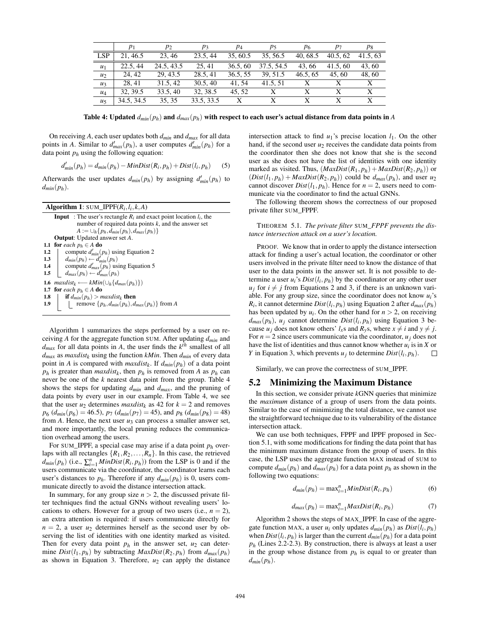|            | $p_1$      | $p_2$      | $p_3$      | $p_4$    | р5         | P6       | $p_7$    | P8       |
|------------|------------|------------|------------|----------|------------|----------|----------|----------|
| <b>LSP</b> | 21, 46.5   | 23.46      | 23.5, 44   | 35, 60.5 | 35, 56.5   | 40, 68.5 | 40.5, 62 | 41.5, 63 |
| $u_1$      | 22.5, 44   | 24.5, 43.5 | 25.41      | 36.5, 60 | 37.5, 54.5 | 43.66    | 41.5, 60 | 43,60    |
| $u_2$      | 24.42      | 29.43.5    | 28.5, 41   | 36.5.55  | 39.51.5    | 46.5, 65 | 45.60    | 48,60    |
| $u_3$      | 28.41      | 31.5, 42   | 30.5, 40   | 41.54    | 41.5.51    |          |          | X        |
| $u_4$      | 32, 39.5   | 33.5, 40   | 32, 38.5   | 45.52    | X          | X        |          | X        |
| $u_{5}$    | 34.5, 34.5 | 35, 35     | 33.5, 33.5 | X        | X          |          |          |          |

Table 4: Updated  $d_{min}(p_h)$  and  $d_{max}(p_h)$  with respect to each user's actual distance from data points in *A* 

On receiving *A*, each user updates both *dmin* and *dmax* for all data points in *A*. Similar to  $d'_{max}(p_h)$ , a user computes  $d'_{min}(p_h)$  for a data point  $p_h$  using the following equation:

$$
d'_{min}(p_h) = d_{min}(p_h) - MinDist(R_i, p_h) + Dist(l_i, p_h)
$$
 (5)

Afterwards the user updates  $d_{min}(p_h)$  by assigning  $d'_{min}(p_h)$  to  $d_{min}(p_h)$ .

| <b>Algorithm 1:</b> SUM_IPPF( $R_i, l_i, k, A$ )                               |
|--------------------------------------------------------------------------------|
| <b>Input</b> : The user's rectangle $R_i$ and exact point location $l_i$ , the |
| number of required data points $k$ , and the answer set                        |
| $A := \bigcup_h \{p_h, d_{min}(p_h), d_{max}(p_h)\}\$                          |
| <b>Output:</b> Updated answer set A.                                           |
| 1.1 for each $p_h \in A$ do                                                    |
| compute $d'_{min}(p_h)$ using Equation 2<br>$1.2\phantom{0}$                   |
| $d_{min}(p_h) \leftarrow d'_{min}(p_h)$<br>1.3                                 |
| compute $d'_{max}(p_h)$ using Equation 5<br>1.4                                |
| $d_{max}(p_h) \leftarrow d'_{max}(p_h)$<br>$1.5\,$                             |
| 1.6 $maxdist_k \longleftarrow kMin(\bigcup_h \{d_{max}(p_h)\})$                |
| 1.7 for each $p_h \in A$ do                                                    |
| <b>if</b> $d_{min}(p_h) > maxdist_k$ <b>then</b><br>1.8                        |
| remove $\{p_h, d_{min}(p_h), d_{max}(p_h)\}\$ from A<br>1.9                    |
|                                                                                |

Algorithm 1 summarizes the steps performed by a user on receiving *A* for the aggregate function SUM. After updating *dmin* and  $d_{max}$  for all data points in *A*, the user finds the  $k^{th}$  smallest of all  $d_{max}$  as *maxdist<sub>k</sub>* using the function *kMin*. Then  $d_{min}$  of every data point in *A* is compared with *maxdist<sup>k</sup>* . If *dmin*(*ph*) of a data point  $p_h$  is greater than *maxdist<sub>k</sub>*, then  $p_h$  is removed from *A* as  $p_h$  can never be one of the *k* nearest data point from the group. Table 4 shows the steps for updating *dmin* and *dmax*, and the pruning of data points by every user in our example. From Table 4, we see that the user  $u_2$  determines *maxdist<sub>k</sub>* as 42 for  $k = 2$  and removes  $p_6$  ( $d_{min}(p_6) = 46.5$ ),  $p_7$  ( $d_{min}(p_7) = 45$ ), and  $p_8$  ( $d_{min}(p_8) = 48$ ) from  $A$ . Hence, the next user  $u_3$  can process a smaller answer set, and more importantly, the local pruning reduces the communication overhead among the users.

For SUM\_IPPF, a special case may arise if a data point *p<sup>h</sup>* overlaps with all rectangles  $\{R_1, R_2, \ldots, R_n\}$ . In this case, the retrieved  $d_{min}(p_h)$  (i.e.,  $\sum_{i=1}^n MinDist(R_i, p_h)$ ) from the LSP is 0 and if the users communicate via the coordinator, the coordinator learns each user's distances to  $p_h$ . Therefore if any  $d_{min}(p_h)$  is 0, users communicate directly to avoid the distance intersection attack.

In summary, for any group size  $n > 2$ , the discussed private filter techniques find the actual GNNs without revealing users' locations to others. However for a group of two users (i.e.,  $n = 2$ ), an extra attention is required: if users communicate directly for  $n = 2$ , a user  $u_2$  determines herself as the second user by observing the list of identities with one identity marked as visited. Then for every data point  $p_h$  in the answer set,  $u_2$  can determine *Dist*( $l_1, p_h$ ) by subtracting *MaxDist*( $R_2, p_h$ ) from  $d_{max}(p_h)$ as shown in Equation 3. Therefore,  $u_2$  can apply the distance intersection attack to find  $u_1$ 's precise location  $l_1$ . On the other hand, if the second user  $u_2$  receives the candidate data points from the coordinator then she does not know that she is the second user as she does not have the list of identities with one identity marked as visited. Thus,  $(MaxDist(R_1, p_h) + MaxDist(R_2, p_h))$  or  $(Dist(l_1, p_h) + MaxDist(R_2, p_h))$  could be  $d_{max}(p_h)$ , and user  $u_2$ cannot discover  $Dist(l_1, p_h)$ . Hence for  $n = 2$ , users need to communicate via the coordinator to find the actual GNNs.

The following theorem shows the correctness of our proposed private filter SUM\_FPPF.

THEOREM 5.1. *The private filter* SUM*\_FPPF prevents the distance intersection attack on a user's location.*

PROOF. We know that in order to apply the distance intersection attack for finding a user's actual location, the coordinator or other users involved in the private filter need to know the distance of that user to the data points in the answer set. It is not possible to determine a user  $u_i$ 's  $Dist(l_i, p_h)$  by the coordinator or any other user  $u_i$  for  $i \neq j$  from Equations 2 and 3, if there is an unknown variable. For any group size, since the coordinator does not know  $u_i$ 's  $R_i$ , it cannot determine  $Dist(l_i, p_h)$  using Equation 2 after  $d_{max}(p_h)$ has been updated by  $u_i$ . On the other hand for  $n > 2$ , on receiving  $d_{max}(p_h)$ ,  $u_j$  cannot determine  $Dist(l_i, p_h)$  using Equation 3 because  $u_j$  does not know others'  $l_x$ s and  $R_y$ s, where  $x \neq i$  and  $y \neq j$ . For  $n = 2$  since users communicate via the coordinator,  $u_j$  does not have the list of identities and thus cannot know whether  $u_i$  is in  $X$  or *Y* in Equation 3, which prevents  $u_j$  to determine  $Dist(l_i, p_h)$ .  $\Box$ 

Similarly, we can prove the correctness of SUM\_IPPF.

## 5.2 Minimizing the Maximum Distance

In this section, we consider private *k*GNN queries that minimize the *maximum* distance of a group of users from the data points. Similar to the case of minimizing the total distance, we cannot use the straightforward technique due to its vulnerability of the distance intersection attack.

We can use both techniques, FPPF and IPPF proposed in Section 5.1, with some modifications for finding the data point that has the minimum maximum distance from the group of users. In this case, the LSP uses the aggregate function MAX instead of SUM to compute  $d_{min}(p_h)$  and  $d_{max}(p_h)$  for a data point  $p_h$  as shown in the following two equations:

$$
d_{min}(p_h) = \max_{i=1}^{n} MinDist(R_i, p_h)
$$
\n(6)

$$
d_{max}(p_h) = \max_{i=1}^{n} MaxDist(R_i, p_h)
$$
 (7)

Algorithm 2 shows the steps of MAX\_IPPF. In case of the aggregate function MAX, a user  $u_i$  only updates  $d_{min}(p_h)$  as  $Dist(l_i, p_h)$ when  $Dist(l_i, p_h)$  is larger than the current  $d_{min}(p_h)$  for a data point  $p_h$  (Lines 2.2-2.3). By construction, there is always at least a user in the group whose distance from  $p_h$  is equal to or greater than  $d_{min}(p_h)$ .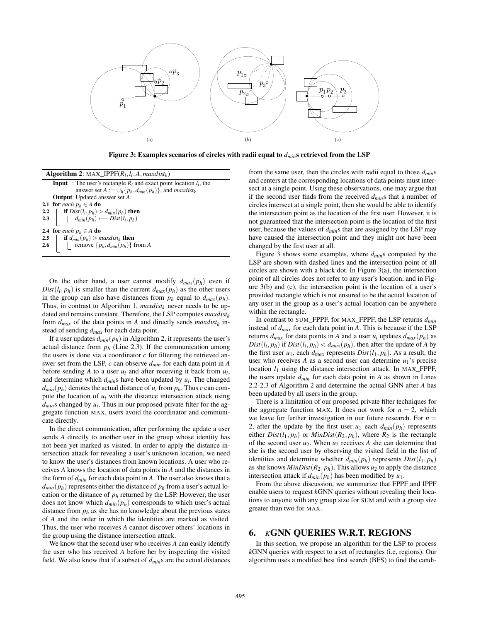

Figure 3: Examples scenarios of circles with radii equal to *dmin*s retrieved from the LSP

| <b>Algorithm 2:</b> MAX_IPPF( $R_i, l_i, A, maxdist_k$ )                                                                                                          |
|-------------------------------------------------------------------------------------------------------------------------------------------------------------------|
| <b>Input</b> : The user's rectangle $R_i$ and exact point location $l_i$ , the                                                                                    |
| answer set $A := \bigcup_h \{p_h, d_{min}(p_h)\}\$ , and <i>maxdist<sub>k</sub></i>                                                                               |
| <b>Output:</b> Updated answer set A.                                                                                                                              |
| 2.1 for each $p_h \in A$ do                                                                                                                                       |
|                                                                                                                                                                   |
| 2.2 <b>if</b> $Dist(l_i, p_h) > d_{min}(p_h)$ then<br>2.3 $\left  \begin{array}{c} \textbf{if } Dist(l_i, p_h) \longleftarrow Dist(l_i, p_h) \end{array} \right $ |
| 2.4 for each $p_h \in A$ do                                                                                                                                       |
|                                                                                                                                                                   |
| 2.5 <b>if</b> $d_{min}(p_h) > maxdist_k$ <b>then</b><br>2.6 <b>i</b> remove $\{p_h, d_{min}(p_h)\}$ from A                                                        |
|                                                                                                                                                                   |

On the other hand, a user cannot modify  $d_{max}(p_h)$  even if  $Dist(l_i, p_h)$  is smaller than the current  $d_{max}(p_h)$  as the other users in the group can also have distances from  $p_h$  equal to  $d_{max}(p_h)$ . Thus, in contrast to Algorithm 1,  $maxdist_k$  never needs to be updated and remains constant. Therefore, the LSP computes *maxdist<sup>k</sup>* from  $d_{max}$  of the data points in *A* and directly sends  $maxdist_k$  instead of sending *dmax* for each data point.

If a user updates  $d_{min}(p_h)$  in Algorithm 2, it represents the user's actual distance from  $p_h$  (Line 2.3). If the communication among the users is done via a coordinator  $c$  for filtering the retrieved answer set from the LSP, *c* can observe *dmin* for each data point in *A* before sending A to a user  $u_i$  and after receiving it back from  $u_i$ , and determine which *dmin*s have been updated by *ui* . The changed  $d_{min}(p_h)$  denotes the actual distance of  $u_i$  from  $p_h$ . Thus *c* can compute the location of  $u_i$  with the distance intersection attack using *dmin*s changed by *ui* . Thus in our proposed private filter for the aggregate function MAX, users avoid the coordinator and communicate directly.

In the direct communication, after performing the update a user sends *A* directly to another user in the group whose identity has not been yet marked as visited. In order to apply the distance intersection attack for revealing a user's unknown location, we need to know the user's distances from known locations. A user who receives *A* knows the location of data points in *A* and the distances in the form of *dmin* for each data point in *A*. The user also knows that a  $d_{min}(p_h)$  represents either the distance of  $p_h$  from a user's actual location or the distance of  $p_h$  returned by the LSP. However, the user does not know which *dmin*(*ph*) corresponds to which user's actual distance from  $p_h$  as she has no knowledge about the previous states of *A* and the order in which the identities are marked as visited. Thus, the user who receives *A* cannot discover others' locations in the group using the distance intersection attack.

We know that the second user who receives *A* can easily identify the user who has received *A* before her by inspecting the visited field. We also know that if a subset of *dmin*s are the actual distances from the same user, then the circles with radii equal to those *dmin*s and centers at the corresponding locations of data points must intersect at a single point. Using these observations, one may argue that if the second user finds from the received *dmin*s that a number of circles intersect at a single point, then she would be able to identify the intersection point as the location of the first user. However, it is not guaranteed that the intersection point is the location of the first user, because the values of *dmin*s that are assigned by the LSP may have caused the intersection point and they might not have been changed by the first user at all.

Figure 3 shows some examples, where *dmin*s computed by the LSP are shown with dashed lines and the intersection point of all circles are shown with a black dot. In Figure 3(a), the intersection point of all circles does not refer to any user's location, and in Figure 3(b) and (c), the intersection point is the location of a user's provided rectangle which is not ensured to be the actual location of any user in the group as a user's actual location can be anywhere within the rectangle.

In contrast to SUM\_FPPF, for MAX\_FPPF, the LSP returns *dmin* instead of *dmax* for each data point in *A*. This is because if the LSP returns  $d_{max}$  for data points in *A* and a user  $u_i$  updates  $d_{max}(p_h)$  as  $Dist(l_i, p_h)$  if  $Dist(l_i, p_h) < d_{max}(p_h)$ , then after the update of *A* by the first user  $u_1$ , each  $d_{max}$  represents  $Dist(l_1, p_h)$ . As a result, the user who receives *A* as a second user can determine  $u_1$ 's precise location  $l_1$  using the distance intersection attack. In MAX\_FPPF, the users update *dmin* for each data point in *A* as shown in Lines 2.2-2.3 of Algorithm 2 and determine the actual GNN after *A* has been updated by all users in the group.

There is a limitation of our proposed private filter techniques for the aggregate function MAX. It does not work for  $n = 2$ , which we leave for further investigation in our future research. For  $n =$ 2, after the update by the first user  $u_1$  each  $d_{min}(p_h)$  represents either  $Dist(l_1, p_h)$  or  $MinDist(R_2, p_h)$ , where  $R_2$  is the rectangle of the second user  $u_2$ . When  $u_2$  receives A she can determine that she is the second user by observing the visited field in the list of identities and determine whether  $d_{min}(p_h)$  represents  $Dist(l_1, p_h)$ as she knows  $MinDist(R_2, p_h)$ . This allows  $u_2$  to apply the distance intersection attack if  $d_{min}(p_h)$  has been modified by  $u_1$ .

From the above discussion, we summarize that FPPF and IPPF enable users to request *k*GNN queries without revealing their locations to anyone with any group size for SUM and with a group size greater than two for MAX.

# 6. *K*GNN QUERIES W.R.T. REGIONS

In this section, we propose an algorithm for the LSP to process *k*GNN queries with respect to a set of rectangles (i.e, regions). Our algorithm uses a modified best first search (BFS) to find the candi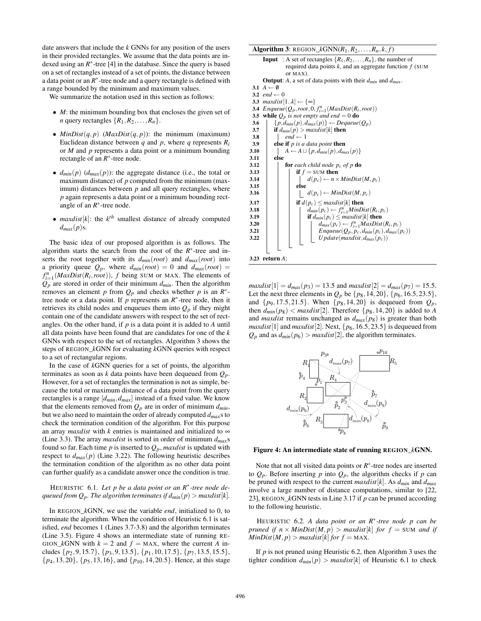date answers that include the *k* GNNs for any position of the users in their provided rectangles. We assume that the data points are indexed using an  $R^*$ -tree [4] in the database. Since the query is based on a set of rectangles instead of a set of points, the distance between a data point or an  $R^*$ -tree node and a query rectangle is defined with a range bounded by the minimum and maximum values.

We summarize the notation used in this section as follows:

- *M*: the minimum bounding box that encloses the given set of *n* query rectangles  $\{R_1, R_2, \ldots, R_n\}$ .
- $MinDist(q, p)$  ( $MaxDist(q, p)$ ): the minimum (maximum) Euclidean distance between  $q$  and  $p$ , where  $q$  represents  $R_i$ or *M* and *p* represents a data point or a minimum bounding rectangle of an  $R^*$ -tree node.
- $d_{min}(p)$  ( $d_{max}(p)$ ): the aggregate distance (i.e., the total or maximum distance) of *p* computed from the minimum (maximum) distances between  $p$  and all query rectangles, where *p* again represents a data point or a minimum bounding rectangle of an  $R^*$ -tree node.
- $maxdist[k]$ : the  $k^{th}$  smallest distance of already computed  $d_{max}(p)$ s.

The basic idea of our proposed algorithm is as follows. The algorithm starts the search from the root of the  $R^*$ -tree and inserts the root together with its *dmin*(*root*) and *dmax*(*root*) into a priority queue  $Q_p$ , where  $d_{min}(root) = 0$  and  $d_{max}(root) = 0$  $f_{i=1}^n \left( \frac{MaxDist(R_i, root)}{R_i} \right)$ , *f* being SUM or MAX. The elements of  $Q_p$  are stored in order of their minimum  $d_{min}$ . Then the algorithm removes an element *p* from  $Q_p$  and checks whether *p* is an  $R^*$ tree node or a data point. If  $p$  represents an  $R^*$ -tree node, then it retrieves its child nodes and enqueues them into  $Q_p$  if they might contain one of the candidate answers with respect to the set of rectangles. On the other hand, if *p* is a data point it is added to *A* until all data points have been found that are candidates for one of the *k* GNNs with respect to the set of rectangles. Algorithm 3 shows the steps of REGION\_*k*GNN for evaluating *k*GNN queries with respect to a set of rectangular regions.

In the case of *k*GNN queries for a set of points, the algorithm terminates as soon as *k* data points have been dequeued from *Qp*. However, for a set of rectangles the termination is not as simple, because the total or maximum distance of a data point from the query rectangles is a range [*dmin*,*dmax*] instead of a fixed value. We know that the elements removed from  $Q_p$  are in order of minimum  $d_{min}$ , but we also need to maintain the order of already computed *dmax*s to check the termination condition of the algorithm. For this purpose an array *maxdist* with  $k$  entries is maintained and initialized to  $\infty$ (Line 3.3). The array *maxdist* is sorted in order of minimum *dmax*s found so far. Each time  $p$  is inserted to  $Q_p$ , *maxdist* is updated with respect to  $d_{max}(p)$  (Line 3.22). The following heuristic describes the termination condition of the algorithm as no other data point can further qualify as a candidate answer once the condition is true.

## HEURISTIC 6.1. *Let p be a data point or an R*<sup>∗</sup> *-tree node dequeued from*  $Q_p$ *. The algorithm terminates if*  $d_{min}(p) > maxdist[k]$ *.*

In REGION\_*k*GNN, we use the variable *end*, initialized to 0, to terminate the algorithm. When the condition of Heuristic 6.1 is satisfied, *end* becomes 1 (Lines 3.7-3.8) and the algorithm terminates (Line 3.5). Figure 4 shows an intermediate state of running RE-GION\_kGNN with  $k = 2$  and  $f =$  MAX, where the current *A* includes {*p*2,9,15.7}, {*p*3,9,13.5}, {*p*1,10,17.5}, {*p*7,13.5,15.5}, {*p*4,13,20}, {*p*5,13,16}, and {*p*10,14,20.5}. Hence, at this stage

```
Algorithm 3: REGION_kGNN(R_1, R_2, \ldots, R_n, k, f)
       Input : A set of rectangles \{R_1, R_2, \ldots, R_n\}, the number of
                   required data points k, and an aggregate function f (SUM
                   or MAX).
       Output: A, a set of data points with their dmin and dmax.
 3.1 A \leftarrow \emptyset3.2 end \leftarrow 03.3 maxdist[1..k] \leftarrow \{\infty\}3.4 \text{Enqueue}(Q_p, root, 0, f_{i=1}^n \text{ (MaxDist}(R_i, root))3.5 while Q_p is not empty and end = 0 do
 3.6 \{p, d_{min}(p), d_{max}(p)\} \leftarrow Dequeue(Q_p)<br>3.7 if d_{min}(p) > maxdist[k] then
 3.7 if d_{min}(p) > maxdist[k] then<br>3.8 \qquad end \leftarrow 1
                  end \leftarrow 13.9 else if p is a data point then
3.10 A ← A ∪ {p, d<sub>min</sub>(p), d<sub>max</sub>(p)}
             else.
3.12 for each child node p<sub>c</sub> of p do<br>3.13 if f = \text{SUM then}if f = SUM then
3.14 d\begin{bmatrix} d(p_c) \leftarrow n \times MinDist(M, p_c) \end{bmatrix} else
3.153.16 \vert \vert \vert \vert \vert \vert d(p_c) \leftarrow MinDist(M, p_c)3.17 if d(p_c) \leq maxdist[k] then<br>3.18 if d_{min}(p_c) \leftarrow f^n, MinDd<sub>min</sub>(p_c) ← f_{i=1}^nMinDist(R_i, p_c)
3.19 if d_{min}(p_c) \leq maxdist[k] then<br>3.20 \qquad \qquad | \qquad d_{max}(p_c) \leftarrow f_{i-1}^n MaxDista d<sub>max</sub>(p_c) \leftarrow f_{i=1}^n MaxDist(R_i, p_c)3.21 Enqueue(Q_p, p_c, d_{min}(p_c), d_{max}(p_c))<br>3.22 U pdate(maxdist.d<sub>max</sub>(p<sub>c</sub>))
                                     Update(maxdist, d_{max}(p_c))
3.23 return A;
```
*maxdist*[1] =  $d_{max}(p_3)$  = 13.5 and *maxdist*[2] =  $d_{max}(p_7)$  = 15.5. Let the next three elements in  $Q_p$  be  $\{p_8, 14, 20\}, \{p_6, 16.5, 23.5\},\$ and  $\{p_9, 17.5, 21.5\}$ . When  $\{p_8, 14, 20\}$  is dequeued from  $Q_p$ , then  $d_{min}(p_8) < maxdist[2]$ . Therefore  $\{p_8, 14, 20\}$  is added to *A* and *maxdist* remains unchanged as *dmax*(*p*8) is greater than both *maxdist*[1] and *maxdist*[2]. Next, {*p*6,16.5,23.5} is dequeued from  $Q_p$  and as  $d_{min}(p_6) > maxdist[2]$ , the algorithm terminates.



#### Figure 4: An intermediate state of running REGION\_*k*GNN.

Note that not all visited data points or  $R^*$ -tree nodes are inserted to  $Q_p$ . Before inserting *p* into  $Q_p$ , the algorithm checks if *p* can be pruned with respect to the current *maxdist*[*k*]. As *dmin* and *dmax* involve a large number of distance computations, similar to [22, 23], REGION\_*k*GNN tests in Line 3.17 if *p* can be pruned according to the following heuristic.

HEURISTIC 6.2. *A data point or an R*<sup>∗</sup> *-tree node p can be pruned if*  $n \times MinDist(M, p) > maxdist[k]$  *for*  $f = SUM$  *and if*  $MinDist(M, p) > maxdist[k]$  *for*  $f = MAX$ .

If *p* is not pruned using Heuristic 6.2, then Algorithm 3 uses the tighter condition  $d_{min}(p) > maxdist[k]$  of Heuristic 6.1 to check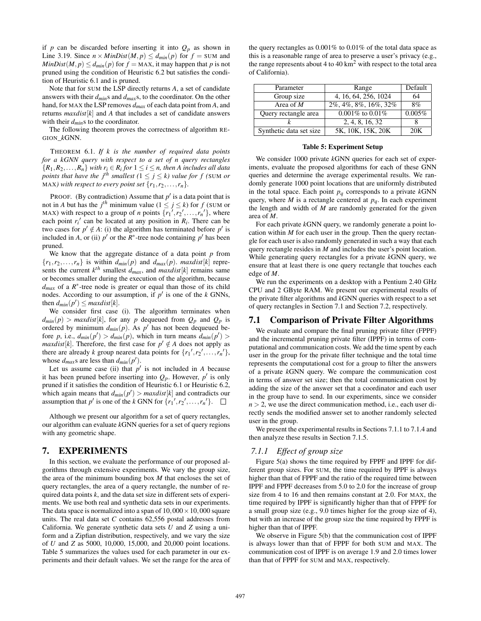if *p* can be discarded before inserting it into  $Q_p$  as shown in Line 3.19. Since  $n \times MinDist(M, p) \leq d_{min}(p)$  for  $f = \text{SUM}$  and  $MinDist(M, p) \leq d_{min}(p)$  for  $f = \text{MAX}$ , it may happen that *p* is not pruned using the condition of Heuristic 6.2 but satisfies the condition of Heuristic 6.1 and is pruned.

Note that for SUM the LSP directly returns *A*, a set of candidate answers with their *dmin*s and *dmax*s, to the coordinator. On the other hand, for MAX the LSP removes *dmax* of each data point from *A*, and returns  $maxdist[k]$  and A that includes a set of candidate answers with their *dmin*s to the coordinator.

The following theorem proves the correctness of algorithm RE-GION\_*k*GNN.

THEOREM 6.1. *If k is the number of required data points for a kGNN query with respect to a set of n query rectangles*  ${R_1, R_2, \ldots, R_n}$  *with*  $r_i \in R_i$  for  $1 \leq i \leq n$ , then A includes all data *points that have the j<sup>th</sup> smallest* ( $1 \le j \le k$ ) value for f (SUM or MAX) with respect to every point set  $\{r_1, r_2, \ldots, r_n\}$ .

PROOF. (By contradiction) Assume that  $p'$  is a data point that is not in *A* but has the  $j<sup>th</sup>$  minimum value ( $1 \le j \le k$ ) for *f* (SUM or MAX) with respect to a group of *n* points  $\{r_1^{\prime}, r_2^{\prime}, \ldots, r_n^{\prime}\}$ , where each point  $r_i'$  can be located at any position in  $R_i$ . There can be two cases for  $p' \notin A$ : (i) the algorithm has terminated before  $p'$  is included in *A*, or (ii)  $p'$  or the  $R^*$ -tree node containing  $p'$  has been pruned.

We know that the aggregate distance of a data point *p* from  ${r_1, r_2, \ldots, r_n}$  is within  $d_{min}(p)$  and  $d_{max}(p)$ . *maxdist*[*k*] represents the current  $k^{th}$  smallest  $d_{max}$ , and  $maxdist[k]$  remains same or becomes smaller during the execution of the algorithm, because  $d_{max}$  of a  $R^*$ -tree node is greater or equal than those of its child nodes. According to our assumption, if  $p'$  is one of the  $k$  GNNs, then  $d_{min}(p') \leq maxdist[k]$ .

We consider first case (i). The algorithm terminates when  $d_{min}(p) > maxdist[k]$ , for any *p* dequeued from  $Q_p$  and  $Q_p$  is ordered by minimum  $d_{min}(p)$ . As  $p'$  has not been dequeued before *p*, i.e.,  $d_{min}(p') > d_{min}(p)$ , which in turn means  $d_{min}(p') >$ *maxdist*[ $k$ ]. Therefore, the first case for  $p' \notin A$  does not apply as there are already *k* group nearest data points for  $\{r_1, r_2, \ldots, r_n'\}$ , whose  $d_{max}$ s are less than  $d_{min}(p')$ .

Let us assume case (ii) that  $p'$  is not included in *A* because it has been pruned before inserting into  $Q_p$ . However,  $p'$  is only pruned if it satisfies the condition of Heuristic 6.1 or Heuristic 6.2, which again means that  $d_{min}(p') > maxdist[k]$  and contradicts our assumption that  $p'$  is one of the *k* GNN for  $\{r_1', r_2', \ldots, r_n'\}$ .

Although we present our algorithm for a set of query rectangles, our algorithm can evaluate *k*GNN queries for a set of query regions with any geometric shape.

## 7. EXPERIMENTS

In this section, we evaluate the performance of our proposed algorithms through extensive experiments. We vary the group size, the area of the minimum bounding box *M* that encloses the set of query rectangles, the area of a query rectangle, the number of required data points *k*, and the data set size in different sets of experiments. We use both real and synthetic data sets in our experiments. The data space is normalized into a span of  $10,000 \times 10,000$  square units. The real data set *C* contains 62,556 postal addresses from California. We generate synthetic data sets *U* and *Z* using a uniform and a Zipfian distribution, respectively, and we vary the size of *U* and *Z* as 5000, 10,000, 15,000, and 20,000 point locations. Table 5 summarizes the values used for each parameter in our experiments and their default values. We set the range for the area of

the query rectangles as 0.001% to 0.01% of the total data space as this is a reasonable range of area to preserve a user's privacy (e.g., the range represents about 4 to 40  $\text{km}^2$  with respect to the total area of California).

| Parameter               | Range                 | Default |
|-------------------------|-----------------------|---------|
| Group size              | 4, 16, 64, 256, 1024  | 64      |
| Area of $\overline{M}$  | 2%, 4%, 8%, 16%, 32%  | 8%      |
| Query rectangle area    | $0.001\%$ to $0.01\%$ | 0.005%  |
|                         | 2, 4, 8, 16, 32       |         |
| Synthetic data set size | 5K, 10K, 15K, 20K     | 20K     |

#### Table 5: Experiment Setup

We consider 1000 private *k*GNN queries for each set of experiments, evaluate the proposed algorithms for each of these GNN queries and determine the average experimental results. We randomly generate 1000 point locations that are uniformly distributed in the total space. Each point  $p_q$  corresponds to a private  $k$ GNN query, where *M* is a rectangle centered at  $p_q$ . In each experiment the length and width of *M* are randomly generated for the given area of *M*.

For each private *k*GNN query, we randomly generate a point location within *M* for each user in the group. Then the query rectangle for each user is also randomly generated in such a way that each query rectangle resides in *M* and includes the user's point location. While generating query rectangles for a private *k*GNN query, we ensure that at least there is one query rectangle that touches each edge of *M*.

We run the experiments on a desktop with a Pentium 2.40 GHz CPU and 2 GByte RAM. We present our experimental results of the private filter algorithms and *k*GNN queries with respect to a set of query rectangles in Section 7.1 and Section 7.2, respectively.

#### 7.1 Comparison of Private Filter Algorithms

We evaluate and compare the final pruning private filter (FPPF) and the incremental pruning private filter (IPPF) in terms of computational and communication costs. We add the time spent by each user in the group for the private filter technique and the total time represents the computational cost for a group to filter the answers of a private *k*GNN query. We compare the communication cost in terms of answer set size; then the total communication cost by adding the size of the answer set that a coordinator and each user in the group have to send. In our experiments, since we consider  $n > 2$ , we use the direct communication method, i.e., each user directly sends the modified answer set to another randomly selected user in the group.

We present the experimental results in Sections 7.1.1 to 7.1.4 and then analyze these results in Section 7.1.5.

#### *7.1.1 Effect of group size*

Figure 5(a) shows the time required by FPPF and IPPF for different group sizes. For SUM, the time required by IPPF is always higher than that of FPPF and the ratio of the required time between IPPF and FPPF decreases from 5.0 to 2.0 for the increase of group size from 4 to 16 and then remains constant at 2.0. For MAX, the time required by IPPF is significantly higher than that of FPPF for a small group size (e.g., 9.0 times higher for the group size of 4), but with an increase of the group size the time required by FPPF is higher than that of IPPF.

We observe in Figure 5(b) that the communication cost of IPPF is always lower than that of FPPF for both SUM and MAX. The communication cost of IPPF is on average 1.9 and 2.0 times lower than that of FPPF for SUM and MAX, respectively.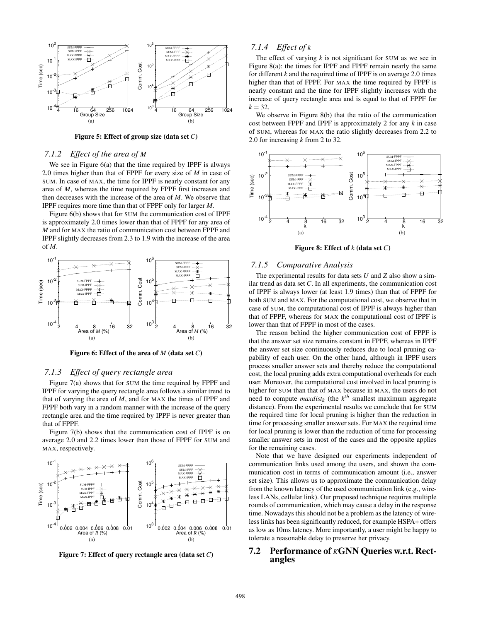

Figure 5: Effect of group size (data set *C*)

#### *7.1.2 Effect of the area of M*

We see in Figure 6(a) that the time required by IPPF is always 2.0 times higher than that of FPPF for every size of *M* in case of SUM. In case of MAX, the time for IPPF is nearly constant for any area of *M*, whereas the time required by FPPF first increases and then decreases with the increase of the area of *M*. We observe that IPPF requires more time than that of FPPF only for larger *M*.

Figure 6(b) shows that for SUM the communication cost of IPPF is approximately 2.0 times lower than that of FPPF for any area of *M* and for MAX the ratio of communication cost between FPPF and IPPF slightly decreases from 2.3 to 1.9 with the increase of the area of *M*.



Figure 6: Effect of the area of *M* (data set *C*)

## *7.1.3 Effect of query rectangle area*

Figure 7(a) shows that for SUM the time required by FPPF and IPPF for varying the query rectangle area follows a similar trend to that of varying the area of *M*, and for MAX the times of IPPF and FPPF both vary in a random manner with the increase of the query rectangle area and the time required by IPPF is never greater than that of FPPF.

Figure 7(b) shows that the communication cost of IPPF is on average 2.0 and 2.2 times lower than those of FPPF for SUM and MAX, respectively.



Figure 7: Effect of query rectangle area (data set *C*)

## *7.1.4 Effect of k*

The effect of varying *k* is not significant for SUM as we see in Figure 8(a): the times for IPPF and FPPF remain nearly the same for different *k* and the required time of IPPF is on average 2.0 times higher than that of FPPF. For MAX the time required by FPPF is nearly constant and the time for IPPF slightly increases with the increase of query rectangle area and is equal to that of FPPF for  $k = 32$ .

We observe in Figure 8(b) that the ratio of the communication cost between FPPF and IPPF is approximately 2 for any *k* in case of SUM, whereas for MAX the ratio slightly decreases from 2.2 to 2.0 for increasing *k* from 2 to 32.



Figure 8: Effect of *k* (data set *C*)

#### *7.1.5 Comparative Analysis*

The experimental results for data sets *U* and *Z* also show a similar trend as data set *C*. In all experiments, the communication cost of IPPF is always lower (at least 1.9 times) than that of FPPF for both SUM and MAX. For the computational cost, we observe that in case of SUM, the computational cost of IPPF is always higher than that of FPPF, whereas for MAX the computational cost of IPPF is lower than that of FPPF in most of the cases.

The reason behind the higher communication cost of FPPF is that the answer set size remains constant in FPPF, whereas in IPPF the answer set size continuously reduces due to local pruning capability of each user. On the other hand, although in IPPF users process smaller answer sets and thereby reduce the computational cost, the local pruning adds extra computational overheads for each user. Moreover, the computational cost involved in local pruning is higher for SUM than that of MAX because in MAX, the users do not need to compute  $maxdist_k$  (the  $k^{th}$  smallest maximum aggregate distance). From the experimental results we conclude that for SUM the required time for local pruning is higher than the reduction in time for processing smaller answer sets. For MAX the required time for local pruning is lower than the reduction of time for processing smaller answer sets in most of the cases and the opposite applies for the remaining cases.

Note that we have designed our experiments independent of communication links used among the users, and shown the communication cost in terms of communication amount (i.e., answer set size). This allows us to approximate the communication delay from the known latency of the used communication link (e.g., wireless LANs, cellular link). Our proposed technique requires multiple rounds of communication, which may cause a delay in the response time. Nowadays this should not be a problem as the latency of wireless links has been significantly reduced, for example HSPA+ offers as low as 10ms latency. More importantly, a user might be happy to tolerate a reasonable delay to preserve her privacy.

## 7.2 Performance of *K*GNN Queries w.r.t. Rectangles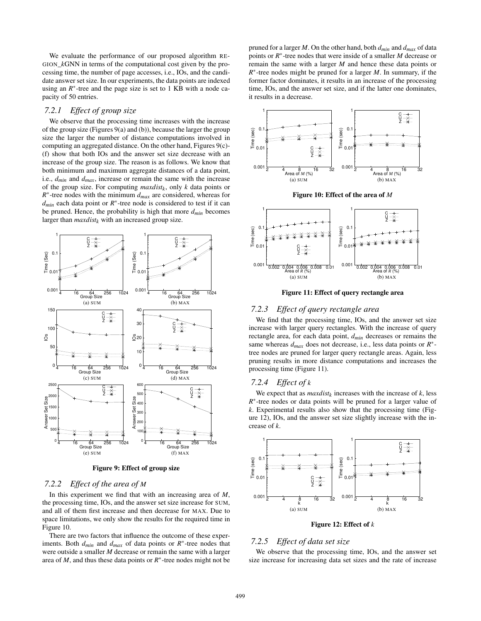We evaluate the performance of our proposed algorithm RE-GION\_*k*GNN in terms of the computational cost given by the processing time, the number of page accesses, i.e., IOs, and the candidate answer set size. In our experiments, the data points are indexed using an  $R^*$ -tree and the page size is set to 1 KB with a node capacity of 50 entries.

#### *7.2.1 Effect of group size*

We observe that the processing time increases with the increase of the group size (Figures 9(a) and (b)), because the larger the group size the larger the number of distance computations involved in computing an aggregated distance. On the other hand, Figures 9(c)- (f) show that both IOs and the answer set size decrease with an increase of the group size. The reason is as follows. We know that both minimum and maximum aggregate distances of a data point, i.e., *dmin* and *dmax*, increase or remain the same with the increase of the group size. For computing *maxdist<sup>k</sup>* , only *k* data points or  $R^*$ -tree nodes with the minimum  $d_{max}$  are considered, whereas for *dmin* each data point or *R* ∗ -tree node is considered to test if it can be pruned. Hence, the probability is high that more *dmin* becomes larger than  $maxdist_k$  with an increased group size.



Figure 9: Effect of group size

#### *7.2.2 Effect of the area of M*

In this experiment we find that with an increasing area of *M*, the processing time, IOs, and the answer set size increase for SUM, and all of them first increase and then decrease for MAX. Due to space limitations, we only show the results for the required time in Figure 10.

There are two factors that influence the outcome of these experiments. Both  $d_{min}$  and  $d_{max}$  of data points or  $R^*$ -tree nodes that were outside a smaller *M* decrease or remain the same with a larger area of  $M$ , and thus these data points or  $R^*$ -tree nodes might not be

pruned for a larger *M*. On the other hand, both *dmin* and *dmax* of data points or *R* ∗ -tree nodes that were inside of a smaller *M* decrease or remain the same with a larger *M* and hence these data points or *R*<sup>∗</sup>-tree nodes might be pruned for a larger *M*. In summary, if the former factor dominates, it results in an increase of the processing time, IOs, and the answer set size, and if the latter one dominates, it results in a decrease.







Figure 11: Effect of query rectangle area

#### *7.2.3 Effect of query rectangle area*

We find that the processing time, IOs, and the answer set size increase with larger query rectangles. With the increase of query rectangle area, for each data point, *dmin* decreases or remains the same whereas  $d_{max}$  does not decrease, i.e., less data points or  $R$ <sup>\*</sup> tree nodes are pruned for larger query rectangle areas. Again, less pruning results in more distance computations and increases the processing time (Figure 11).

#### *7.2.4 Effect of k*

We expect that as  $maxdist_k$  increases with the increase of  $k$ , less *R*<sup>\*</sup>-tree nodes or data points will be pruned for a larger value of *k*. Experimental results also show that the processing time (Figure 12), IOs, and the answer set size slightly increase with the increase of *k*.



Figure 12: Effect of *k*

#### *7.2.5 Effect of data set size*

We observe that the processing time, IOs, and the answer set size increase for increasing data set sizes and the rate of increase